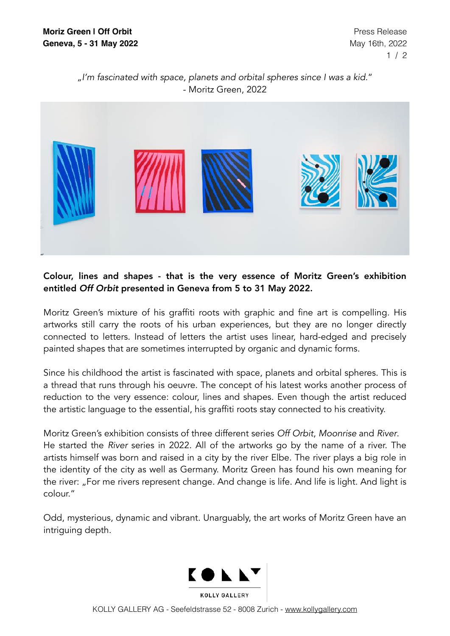## *"I'm fascinated with space, planets and orbital spheres since I was a kid.*" - Moritz Green, 2022



## Colour, lines and shapes - that is the very essence of Moritz Green's exhibition entitled *Off Orbit* presented in Geneva from 5 to 31 May 2022.

Moritz Green's mixture of his graffiti roots with graphic and fine art is compelling. His artworks still carry the roots of his urban experiences, but they are no longer directly connected to letters. Instead of letters the artist uses linear, hard-edged and precisely painted shapes that are sometimes interrupted by organic and dynamic forms.

Since his childhood the artist is fascinated with space, planets and orbital spheres. This is a thread that runs through his oeuvre. The concept of his latest works another process of reduction to the very essence: colour, lines and shapes. Even though the artist reduced the artistic language to the essential, his graffiti roots stay connected to his creativity.

Moritz Green's exhibition consists of three different series *Off Orbit*, *Moonrise* and *River*. He started the *River* series in 2022. All of the artworks go by the name of a river. The artists himself was born and raised in a city by the river Elbe. The river plays a big role in the identity of the city as well as Germany. Moritz Green has found his own meaning for the river: "For me rivers represent change. And change is life. And life is light. And light is colour."

Odd, mysterious, dynamic and vibrant. Unarguably, the art works of Moritz Green have an intriguing depth.